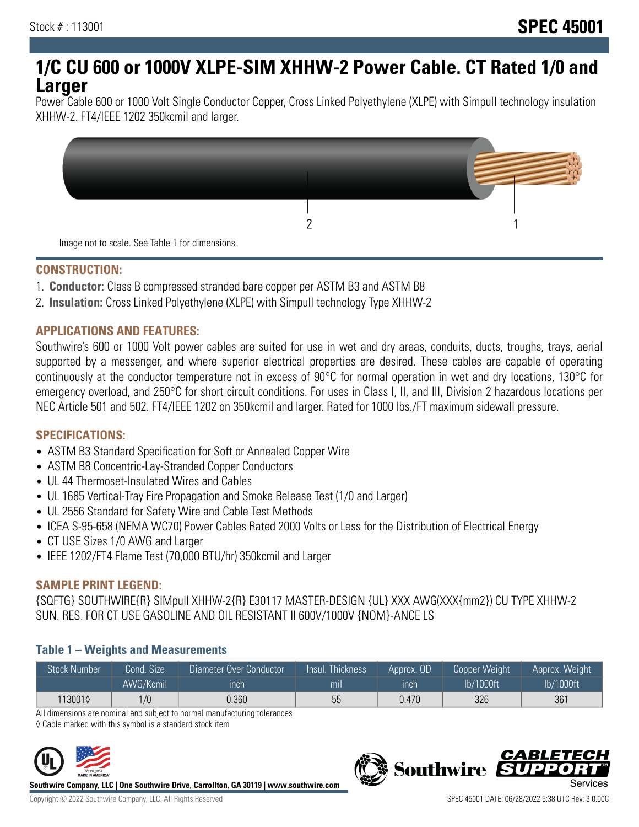# **1/C CU 600 or 1000V XLPE-SIM XHHW-2 Power Cable. CT Rated 1/0 and Larger**

Power Cable 600 or 1000 Volt Single Conductor Copper, Cross Linked Polyethylene (XLPE) with Simpull technology insulation XHHW-2. FT4/IEEE 1202 350kcmil and larger.



## **CONSTRUCTION:**

- 1. **Conductor:** Class B compressed stranded bare copper per ASTM B3 and ASTM B8
- 2. **Insulation:** Cross Linked Polyethylene (XLPE) with Simpull technology Type XHHW-2

## **APPLICATIONS AND FEATURES:**

Southwire's 600 or 1000 Volt power cables are suited for use in wet and dry areas, conduits, ducts, troughs, trays, aerial supported by a messenger, and where superior electrical properties are desired. These cables are capable of operating continuously at the conductor temperature not in excess of 90°C for normal operation in wet and dry locations, 130°C for emergency overload, and 250°C for short circuit conditions. For uses in Class I, II, and III, Division 2 hazardous locations per NEC Article 501 and 502. FT4/IEEE 1202 on 350kcmil and larger. Rated for 1000 lbs./FT maximum sidewall pressure.

## **SPECIFICATIONS:**

- ASTM B3 Standard Specification for Soft or Annealed Copper Wire
- ASTM B8 Concentric-Lay-Stranded Copper Conductors
- UL 44 Thermoset-Insulated Wires and Cables
- UL 1685 Vertical-Tray Fire Propagation and Smoke Release Test (1/0 and Larger)
- UL 2556 Standard for Safety Wire and Cable Test Methods
- ICEA S-95-658 (NEMA WC70) Power Cables Rated 2000 Volts or Less for the Distribution of Electrical Energy
- CT USE Sizes 1/0 AWG and Larger
- IEEE 1202/FT4 Flame Test (70,000 BTU/hr) 350kcmil and Larger

## **SAMPLE PRINT LEGEND:**

{SQFTG} SOUTHWIRE{R} SIMpull XHHW-2{R} E30117 MASTER-DESIGN {UL} XXX AWG(XXX{mm2}) CU TYPE XHHW-2 SUN. RES. FOR CT USE GASOLINE AND OIL RESISTANT II 600V/1000V {NOM}-ANCE LS

## **Table 1 – Weights and Measurements**

| <b>Stock Number</b> | Cond. Size | Diameter Over Conductor | Insul. Thickness | Approx, OD | Copper Weight | Approx. Weight |
|---------------------|------------|-------------------------|------------------|------------|---------------|----------------|
|                     | AWG/Kcmil  | ınch                    | mıl              | inch       | lb/1000ft     | lb/1000ft      |
| 1130010             | 1/0        | 0.360                   | 55               | 0.470      | 326           | 361            |

All dimensions are nominal and subject to normal manufacturing tolerances

◊ Cable marked with this symbol is a standard stock item



**Southwire Company, LLC | One Southwire Drive, Carrollton, GA 30119 | www.southwire.com**

**Southwire** 

*CABLETE*